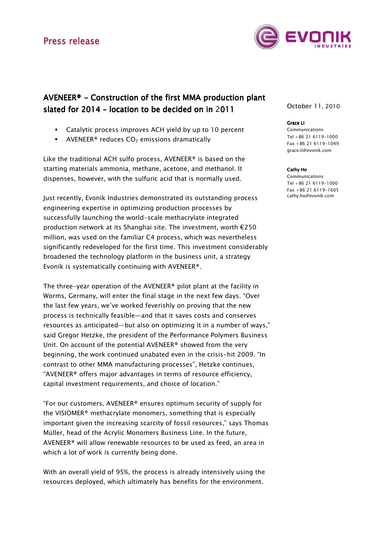## Press release



# AVENEER® - Construction of the first MMA production plant slated for  $2014$  – location to be decided on in 2011

- Catalytic process improves ACH yield by up to 10 percent
- **•** AVENEER<sup>®</sup> reduces  $CO<sub>2</sub>$  emissions dramatically

Like the traditional ACH sulfo process, AVENEER® is based on the starting materials ammonia, methane, acetone, and methanol. It dispenses, however, with the sulfuric acid that is normally used.

Just recently, Evonik Industries demonstrated its outstanding process engineering expertise in optimizing production processes by successfully launching the world-scale methacrylate integrated production network at its Shanghai site. The investment, worth €250 million, was used on the familiar C4 process, which was nevertheless significantly redeveloped for the first time. This investment considerably broadened the technology platform in the business unit, a strategy Evonik is systematically continuing with AVENEER®.

The three-year operation of the AVENEER® pilot plant at the facility in Worms, Germany, will enter the final stage in the next few days. "Over the last few years, we've worked feverishly on proving that the new process is technically feasible—and that it saves costs and conserves resources as anticipated—but also on optimizing it in a number of ways," said Gregor Hetzke, the president of the Performance Polymers Business Unit. On account of the potential AVENEER® showed from the very beginning, the work continued unabated even in the crisis-hit 2009. "In contrast to other MMA manufacturing processes", Hetzke continues, "AVENEER® offers major advantages in terms of resource efficiency, capital investment requirements, and choice of location."

"For our customers, AVENEER® ensures optimum security of supply for the VISIOMER® methacrylate monomers, something that is especially important given the increasing scarcity of fossil resources," says Thomas Müller, head of the Acrylic Monomers Business Line. In the future, AVENEER® will allow renewable resources to be used as feed, an area in which a lot of work is currently being done.

With an overall yield of 95%, the process is already intensively using the resources deployed, which ultimately has benefits for the environment.

October 11, 2010

### Grace Li

Communications Tel +86 21 6119-1000 Fax +86 21 6119-1049 grace.li@evonik.com

#### Cathy Ho

Communications Tel +86 21 6119-1000 Fax +86 21 6119-1605 cathy.ho@evonik.com